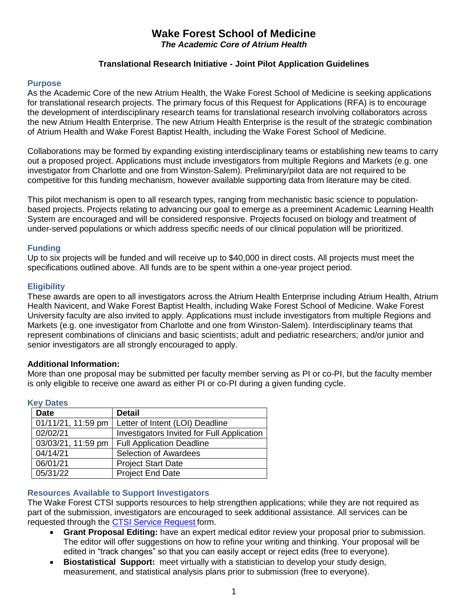### **Wake Forest School of Medicine** *The Academic Core of Atrium Health*

### **Translational Research Initiative - Joint Pilot Application Guidelines**

#### **Purpose**

As the Academic Core of the new Atrium Health, the Wake Forest School of Medicine is seeking applications for translational research projects. The primary focus of this Request for Applications (RFA) is to encourage the development of interdisciplinary research teams for translational research involving collaborators across the new Atrium Health Enterprise. The new Atrium Health Enterprise is the result of the strategic combination of Atrium Health and Wake Forest Baptist Health, including the Wake Forest School of Medicine.

Collaborations may be formed by expanding existing interdisciplinary teams or establishing new teams to carry out a proposed project. Applications must include investigators from multiple Regions and Markets (e.g. one investigator from Charlotte and one from Winston-Salem). Preliminary/pilot data are not required to be competitive for this funding mechanism, however available supporting data from literature may be cited.

This pilot mechanism is open to all research types, ranging from mechanistic basic science to populationbased projects. Projects relating to advancing our goal to emerge as a preeminent Academic Learning Health System are encouraged and will be considered responsive. Projects focused on biology and treatment of under-served populations or which address specific needs of our clinical population will be prioritized.

#### **Funding**

Up to six projects will be funded and will receive up to \$40,000 in direct costs. All projects must meet the specifications outlined above. All funds are to be spent within a one-year project period.

#### **Eligibility**

These awards are open to all investigators across the Atrium Health Enterprise including Atrium Health, Atrium Health Navicent, and Wake Forest Baptist Health, including Wake Forest School of Medicine. Wake Forest University faculty are also invited to apply. Applications must include investigators from multiple Regions and Markets (e.g. one investigator from Charlotte and one from Winston-Salem). Interdisciplinary teams that represent combinations of clinicians and basic scientists; adult and pediatric researchers; and/or junior and senior investigators are all strongly encouraged to apply.

#### **Additional Information:**

More than one proposal may be submitted per faculty member serving as PI or co-PI, but the faculty member is only eligible to receive one award as either PI or co-PI during a given funding cycle.

| <b>Key Dates</b>   |                                            |
|--------------------|--------------------------------------------|
| <b>Date</b>        | <b>Detail</b>                              |
| 01/11/21, 11:59 pm | Letter of Intent (LOI) Deadline            |
| 02/02/21           | Investigators Invited for Full Application |
| 03/03/21, 11:59 pm | <b>Full Application Deadline</b>           |
| 04/14/21           | <b>Selection of Awardees</b>               |
| 06/01/21           | <b>Project Start Date</b>                  |
| 05/31/22           | <b>Project End Date</b>                    |

#### **Key Dates**

#### **Resources Available to Support Investigators**

The Wake Forest CTSI supports resources to help strengthen applications; while they are not required as part of the submission, investigators are encouraged to seek additional assistance. All services can be requested through the [CTSI Service Request](https://redcap.wakehealth.edu/redcap/surveys/?s=M3EEWM34NJ) form.

- **Grant Proposal Editing:** have an expert medical editor review your proposal prior to submission. The editor will offer suggestions on how to refine your writing and thinking. Your proposal will be edited in "track changes" so that you can easily accept or reject edits (free to everyone).
- **Biostatistical Support:** meet virtually with a statistician to develop your study design, measurement, and statistical analysis plans prior to submission (free to everyone).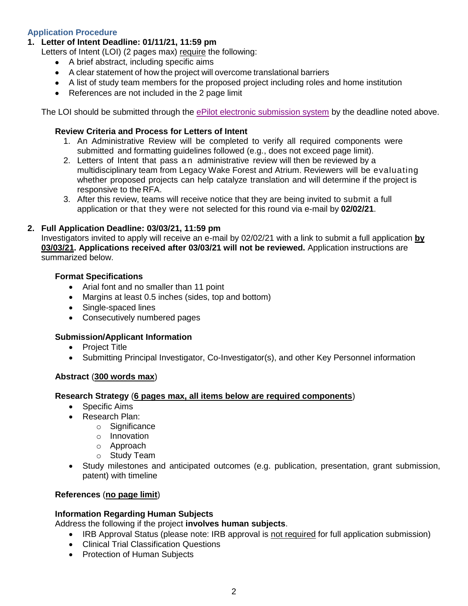# **Application Procedure**

## **1. Letter of Intent Deadline: 01/11/21, 11:59 pm**

Letters of Intent (LOI) (2 pages max) require the following:

- A brief abstract, including specific aims
- A clear statement of how the project will overcome translational barriers
- A list of study team members for the proposed project including roles and home institution
- References are not included in the 2 page limit

The LOI should be submitted through the [ePilot electronic submission system](https://redcap.wakehealth.edu/redcap/surveys/?s=NMHC7RYJWD) by the deadline noted above.

## **Review Criteria and Process for Letters of Intent**

- 1. An Administrative Review will be completed to verify all required components were submitted and formatting guidelines followed (e.g., does not exceed page limit).
- 2. Letters of Intent that pass an administrative review will then be reviewed by a multidisciplinary team from Legacy Wake Forest and Atrium. Reviewers will be evaluating whether proposed projects can help catalyze translation and will determine if the project is responsive to the RFA.
- 3. After this review, teams will receive notice that they are being invited to submit a full application or that they were not selected for this round via e-mail by **02/02/21**.

## **2. Full Application Deadline: 03/03/21, 11:59 pm**

Investigators invited to apply will receive an e-mail by 02/02/21 with a link to submit a full application **by 03/03/21. Applications received after 03/03/21 will not be reviewed.** Application instructions are summarized below.

## **Format Specifications**

- Arial font and no smaller than 11 point
- Margins at least 0.5 inches (sides, top and bottom)
- Single-spaced lines
- Consecutively numbered pages

## **Submission/Applicant Information**

- Project Title
- Submitting Principal Investigator, Co-Investigator(s), and other Key Personnel information

## **Abstract** (**300 words max**)

## **Research Strategy** (**6 pages max, all items below are required components**)

- Specific Aims
- Research Plan:
	- o Significance
		- o Innovation
		- o Approach
		- o Study Team
- Study milestones and anticipated outcomes (e.g. publication, presentation, grant submission, patent) with timeline

## **References** (**no page limit**)

## **Information Regarding Human Subjects**

Address the following if the project **involves human subjects**.

- IRB Approval Status (please note: IRB approval is not required for full application submission)
- Clinical Trial Classification Questions
- Protection of Human Subjects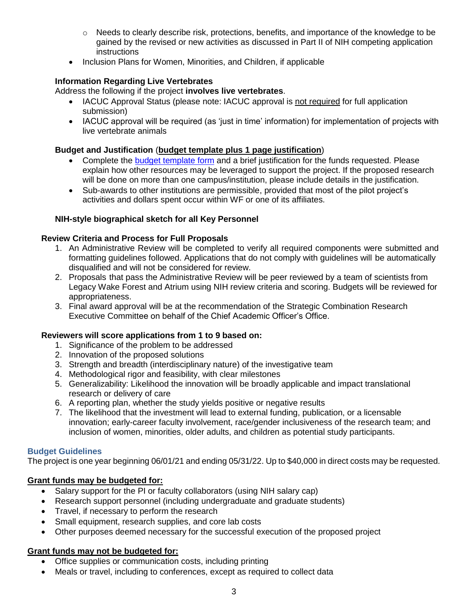- $\circ$  Needs to clearly describe risk, protections, benefits, and importance of the knowledge to be gained by the revised or new activities as discussed in Part II of NIH competing application **instructions**
- Inclusion Plans for Women, Minorities, and Children, if applicable

# **Information Regarding Live Vertebrates**

Address the following if the project **involves live vertebrates**.

- IACUC Approval Status (please note: IACUC approval is not required for full application submission)
- IACUC approval will be required (as 'just in time' information) for implementation of projects with live vertebrate animals

# **Budget and Justification** (**budget template plus 1 page justification**)

- Complete the [budget template form](https://wakehealth.sharepoint.com/:x:/r/teams/CTSIWebCollection/Shared%20Documents/CSTI-Public/CTSI%20Pilot%20Budget%20Template.xlsx) and a brief justification for the funds requested. Please explain how other resources may be leveraged to support the project. If the proposed research will be done on more than one campus/institution, please include details in the justification.
- Sub-awards to other institutions are permissible, provided that most of the pilot project's activities and dollars spent occur within WF or one of its affiliates.

# **NIH-style biographical sketch for all Key Personnel**

# **Review Criteria and Process for Full Proposals**

- 1. An Administrative Review will be completed to verify all required components were submitted and formatting guidelines followed. Applications that do not comply with guidelines will be automatically disqualified and will not be considered for review.
- 2. Proposals that pass the Administrative Review will be peer reviewed by a team of scientists from Legacy Wake Forest and Atrium using NIH review criteria and scoring. Budgets will be reviewed for appropriateness.
- 3. Final award approval will be at the recommendation of the Strategic Combination Research Executive Committee on behalf of the Chief Academic Officer's Office.

# **Reviewers will score applications from 1 to 9 based on:**

- 1. Significance of the problem to be addressed
- 2. Innovation of the proposed solutions
- 3. Strength and breadth (interdisciplinary nature) of the investigative team
- 4. Methodological rigor and feasibility, with clear milestones
- 5. Generalizability: Likelihood the innovation will be broadly applicable and impact translational research or delivery of care
- 6. A reporting plan, whether the study yields positive or negative results
- 7. The likelihood that the investment will lead to external funding, publication, or a licensable innovation; early-career faculty involvement, race/gender inclusiveness of the research team; and inclusion of women, minorities, older adults, and children as potential study participants.

## **Budget Guidelines**

The project is one year beginning 06/01/21 and ending 05/31/22. Up to \$40,000 in direct costs may be requested.

# **Grant funds may be budgeted for:**

- Salary support for the PI or faculty collaborators (using NIH salary cap)
- Research support personnel (including undergraduate and graduate students)
- Travel, if necessary to perform the research
- Small equipment, research supplies, and core lab costs
- Other purposes deemed necessary for the successful execution of the proposed project

# **Grant funds may not be budgeted for:**

- Office supplies or communication costs, including printing
- Meals or travel, including to conferences, except as required to collect data